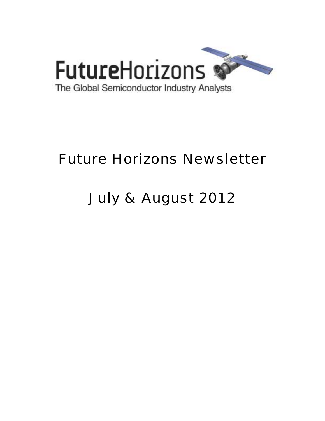

# Future Horizons Newsletter

# July & August 2012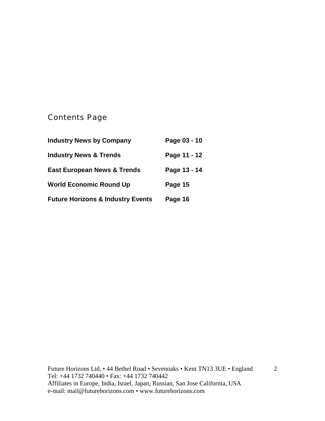# Contents Page

| <b>Industry News by Company</b>              | Page 03 - 10 |
|----------------------------------------------|--------------|
| <b>Industry News &amp; Trends</b>            | Page 11 - 12 |
| <b>East European News &amp; Trends</b>       | Page 13 - 14 |
| <b>World Economic Round Up</b>               | Page 15      |
| <b>Future Horizons &amp; Industry Events</b> | Page 16      |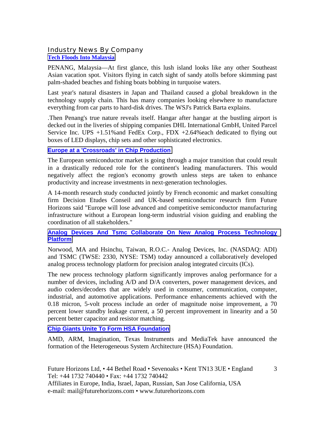# Industry News By Company **[Tech Floods Into Malaysia](http://online.wsj.com/article/SB10000872396390444464304577534951125374274.html?mod=djemTECH_t)**

PENANG, Malaysia—At first glance, this lush island looks like any other Southeast Asian vacation spot. Visitors flying in catch sight of sandy atolls before skimming past palm-shaded beaches and fishing boats bobbing in turquoise waters.

Last year's natural disasters in Japan and Thailand caused a global breakdown in the technology supply chain. This has many companies looking elsewhere to manufacture everything from car parts to hard-disk drives. The WSJ's Patrick Barta explains.

.Then Penang's true nature reveals itself. Hangar after hangar at the bustling airport is decked out in the liveries of shipping companies DHL International GmbH, United Parcel Service Inc. UPS  $+1.51\%$  and FedEx Corp., FDX  $+2.64\%$  each dedicated to flying out boxes of LED displays, chip sets and other sophisticated electronics.

# **[Europe at a 'Crossroads' in Chip Production](http://www.ebnonline.com/author.asp?section_id=1038&doc_id=245418&itc=ebnonline_gnews)**

The European semiconductor market is going through a major transition that could result in a drastically reduced role for the continent's leading manufacturers. This would negatively affect the region's economy growth unless steps are taken to enhance productivity and increase investments in next-generation technologies.

A 14-month research study conducted jointly by French economic and market consulting firm Decision Etudes Conseil and UK-based semiconductor research firm Future Horizons said "Europe will lose advanced and competitive semiconductor manufacturing infrastructure without a European long-term industrial vision guiding and enabling the coordination of all stakeholders."

## **[Analog Devices And Tsmc Collaborate On New Analog Process Technology](http://www.analog.com/en/press-release/06_20_12_ADI_and_TSMC_Collaborate_on_New_Analog/press.html)  [Platform](http://www.analog.com/en/press-release/06_20_12_ADI_and_TSMC_Collaborate_on_New_Analog/press.html)**

Norwood, MA and Hsinchu, Taiwan, R.O.C.- Analog Devices, Inc. (NASDAQ: ADI) and TSMC (TWSE: 2330, NYSE: TSM) today announced a collaboratively developed analog process technology platform for precision analog integrated circuits (ICs).

The new process technology platform significantly improves analog performance for a number of devices, including A/D and D/A converters, power management devices, and audio coders/decoders that are widely used in consumer, communication, computer, industrial, and automotive applications. Performance enhancements achieved with the 0.18 micron, 5-volt process include an order of magnitude noise improvement, a 70 percent lower standby leakage current, a 50 percent improvement in linearity and a 50 percent better capacitor and resistor matching.

# **[Chip Giants Unite To Form HSA Foundation](http://www.eetindia.co.in/ART_8800668818_1800012_NT_10322bab.HTM?click_from=8800095140,9950114561,2012-06-13,EEIOL,ARTICLE_ALERT)**

AMD, ARM, Imagination, Texas Instruments and MediaTek have announced the formation of the Heterogeneous System Architecture (HSA) Foundation.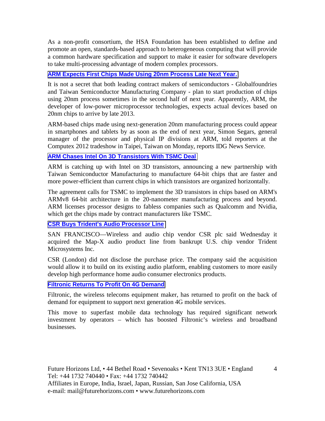As a non-profit consortium, the HSA Foundation has been established to define and promote an open, standards-based approach to heterogeneous computing that will provide a common hardware specification and support to make it easier for software developers to take multi-processing advantage of modern complex processors.

# **[ARM Expects First Chips Made Using 20nm Process Late Next Year.](http://www.xbitlabs.com/news/other/display/20120607225117_ARM_Expects_First_Chips_Made_Using_20nm_Process_Late_Next_Year.html)**

It is not a secret that both leading contract makers of semiconductors - Globalfoundries and Taiwan Semiconductor Manufacturing Company - plan to start production of chips using 20nm process sometimes in the second half of next year. Apparently, ARM, the developer of low-power microprocessor technologies, expects actual devices based on 20nm chips to arrive by late 2013.

ARM-based chips made using next-generation 20nm manufacturing process could appear in smartphones and tablets by as soon as the end of next year, Simon Segars, general manager of the processor and physical IP divisions at ARM, told reporters at the Computex 2012 tradeshow in Taipei, Taiwan on Monday, reports IDG News Service.

#### **[ARM Chases Intel On 3D Transistors With TSMC Deal](http://www.pcworld.com/article/259666/arm_chases_intel_on_3d_transistors_with_tsmc_deal.html)**

ARM is catching up with Intel on 3D transistors, announcing a new partnership with Taiwan Semiconductor Manufacturing to manufacture 64-bit chips that are faster and more power-efficient than current chips in which transistors are organized horizontally.

The agreement calls for TSMC to implement the 3D transistors in chips based on ARM's ARMv8 64-bit architecture in the 20-nanometer manufacturing process and beyond. ARM licenses processor designs to fabless companies such as Qualcomm and Nvidia, which get the chips made by contract manufacturers like TSMC.

#### **[CSR Buys Trident's Audio Processor Line](http://www.eetimes.com/electronics-news/4374791/CSR-buys-Trident-s-audio-processor-line)**

SAN FRANCISCO—Wireless and audio chip vendor CSR plc said Wednesday it acquired the Map-X audio product line from bankrupt U.S. chip vendor Trident Microsystems Inc.

CSR (London) did not disclose the purchase price. The company said the acquisition would allow it to build on its existing audio platform, enabling customers to more easily develop high performance home audio consumer electronics products.

#### **[Filtronic Returns To Profit On 4G Demand](http://www.ft.com/cms/s/0/ce197948-d4d0-11e1-bb88-00144feabdc0.html#axzz21WfvFORT)**

Filtronic, the wireless telecoms equipment maker, has returned to profit on the back of demand for equipment to support next generation 4G mobile services.

This move to superfast mobile data technology has required significant network investment by operators – which has boosted Filtronic's wireless and broadband businesses.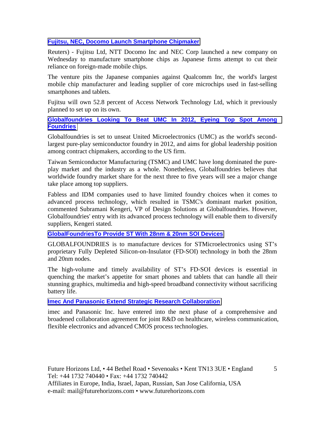# **[Fujitsu, NEC, Docomo Launch Smartphone Chipmaker](http://www.reuters.com/article/2012/08/01/us-fujitsu-nec-docomo-chip-nikkei-idUSBRE8700A820120801)**

Reuters) - Fujitsu Ltd, NTT Docomo Inc and NEC Corp launched a new company on Wednesday to manufacture smartphone chips as Japanese firms attempt to cut their reliance on foreign-made mobile chips.

The venture pits the Japanese companies against Qualcomm Inc, the world's largest mobile chip manufacturer and leading supplier of core microchips used in fast-selling smartphones and tablets.

Fujitsu will own 52.8 percent of Access Network Technology Ltd, which it previously planned to set up on its own.

# **[Globalfoundries Looking To Beat UMC In 2012, Eyeing Top Spot Among](http://www.digitimes.com/news/a20120608PD201.html)  [Foundries](http://www.digitimes.com/news/a20120608PD201.html)**

Globalfoundries is set to unseat United Microelectronics (UMC) as the world's secondlargest pure-play semiconductor foundry in 2012, and aims for global leadership position among contract chipmakers, according to the US firm.

Taiwan Semiconductor Manufacturing (TSMC) and UMC have long dominated the pureplay market and the industry as a whole. Nonetheless, Globalfoundries believes that worldwide foundry market share for the next three to five years will see a major change take place among top suppliers.

Fabless and IDM companies used to have limited foundry choices when it comes to advanced process technology, which resulted in TSMC's dominant market position, commented Subramani Kengeri, VP of Design Solutions at Globalfoundries. However, Globalfoundries' entry with its advanced process technology will enable them to diversify suppliers, Kengeri stated.

**[GlobalFoundriesTo Provide ST With 28nm & 20nm SOI Devices](http://www.siliconsemiconductor.net/article/75345-GLOBALFOUNDRIES-To-Provide-ST-With-28nm-&-20nm-SOI-Devices.php)**

GLOBALFOUNDRIES is to manufacture devices for STMicroelectronics using ST's proprietary Fully Depleted Silicon-on-Insulator (FD-SOI) technology in both the 28nm and 20nm nodes.

The high-volume and timely availability of ST's FD-SOI devices is essential in quenching the market's appetite for smart phones and tablets that can handle all their stunning graphics, multimedia and high-speed broadband connectivity without sacrificing battery life.

**[Imec And Panasonic Extend Strategic Research Collaboration](http://electronicsfeed.com/news/2428)**

imec and Panasonic Inc. have entered into the next phase of a comprehensive and broadened collaboration agreement for joint R&D on healthcare, wireless communication, flexible electronics and advanced CMOS process technologies.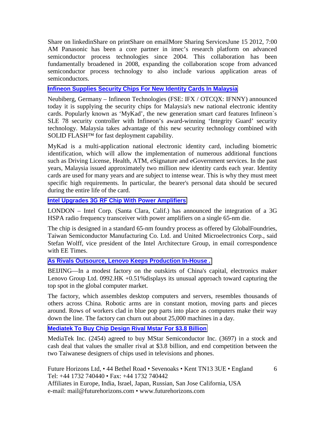Share on linkedinShare on printShare on emailMore Sharing ServicesJune 15 2012, 7:00 AM Panasonic has been a core partner in imec's research platform on advanced semiconductor process technologies since 2004. This collaboration has been fundamentally broadened in 2008, expanding the collaboration scope from advanced semiconductor process technology to also include various application areas of semiconductors.

#### **[Infineon Supplies Security Chips For New Identity Cards In Malaysia](http://www.infineon.com/cms/en/corporate/press/news/releases/2012/INFCSS201206-049.html)**

Neubiberg, Germany – Infineon Technologies (FSE: IFX / OTCQX: IFNNY) announced today it is supplying the security chips for Malaysia's new national electronic identity cards. Popularly known as 'MyKad', the new generation smart card features Infineon`s SLE 78 security controller with Infineon's award-winning 'Integrity Guard' security technology. Malaysia takes advantage of this new security technology combined with SOLID FLASH<sup>™</sup> for fast deployment capability.

MyKad is a multi-application national electronic identity card, including biometric identification, which will allow the implementation of numerous additional functions such as Driving License, Health, ATM, eSignature and eGovernment services. In the past years, Malaysia issued approximately two million new identity cards each year. Identity cards are used for many years and are subject to intense wear. This is why they must meet specific high requirements. In particular, the bearer's personal data should be secured during the entire life of the card.

## **[Intel Upgrades 3G RF Chip With Power Amplifiers](http://www.eetimes.com/electronics-news/4391339/Intel-upgrades-3G-RF-chip-with-power-amplifiers)**

LONDON – Intel Corp. (Santa Clara, Calif.) has announced the integration of a 3G HSPA radio frequency transceiver with power amplifiers on a single 65-nm die.

The chip is designed in a standard 65-nm foundry process as offered by GlobalFoundries, Taiwan Semiconductor Manufacturing Co. Ltd. and United Microelectronics Corp., said Stefan Wolff, vice president of the Intel Architecture Group, in email correspondence with EE Times.

# **[As Rivals Outsource, Lenovo Keeps Production In-House .](http://online.wsj.com/article/SB10001424052702303302504577325522699291362.html?mod=djemTECH_t#printMode)**

BEIJING—In a modest factory on the outskirts of China's capital, electronics maker Lenovo Group Ltd. 0992.HK +0.51%displays its unusual approach toward capturing the top spot in the global computer market.

The factory, which assembles desktop computers and servers, resembles thousands of others across China. Robotic arms are in constant motion, moving parts and pieces around. Rows of workers clad in blue pop parts into place as computers make their way down the line. The factory can churn out about 25,000 machines in a day.

# **[Mediatek To Buy Chip Design Rival Mstar For \\$3.8 Billion](http://www.businessweek.com/news/2012-06-22/mediatek-to-buy-chip-design-rival-mstar-for-3-dot-8-billion)**

MediaTek Inc. (2454) agreed to buy MStar Semiconductor Inc. (3697) in a stock and cash deal that values the smaller rival at \$3.8 billion, and end competition between the two Taiwanese designers of chips used in televisions and phones.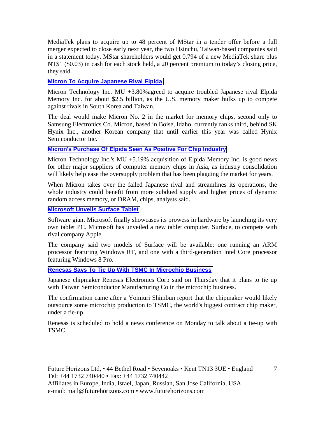MediaTek plans to acquire up to 48 percent of MStar in a tender offer before a full merger expected to close early next year, the two Hsinchu, Taiwan-based companies said in a statement today. MStar shareholders would get 0.794 of a new MediaTek share plus NT\$1 (\$0.03) in cash for each stock held, a 20 percent premium to today's closing price, they said.

#### **[Micron To Acquire Japanese Rival Elpida](http://online.wsj.com/article/SB10001424052702304299704577502332271971556.html?mod=djemTECH_t)**

Micron Technology Inc. MU +3.80%agreed to acquire troubled Japanese rival Elpida Memory Inc. for about \$2.5 billion, as the U.S. memory maker bulks up to compete against rivals in South Korea and Taiwan.

The deal would make Micron No. 2 in the market for memory chips, second only to Samsung Electronics Co. Micron, based in Boise, Idaho, currently ranks third, behind SK Hynix Inc., another Korean company that until earlier this year was called Hynix Semiconductor Inc.

## **[Micron's Purchase Of Elpida Seen As Positive For Chip Industry](http://online.wsj.com/article/SB10001424052702304211804577504513579635868.html?mod=djemTECH_t)**

Micron Technology Inc.'s MU +5.19% acquisition of Elpida Memory Inc. is good news for other major suppliers of computer memory chips in Asia, as industry consolidation will likely help ease the oversupply problem that has been plaguing the market for years.

When Micron takes over the failed Japanese rival and streamlines its operations, the whole industry could benefit from more subdued supply and higher prices of dynamic random access memory, or DRAM, chips, analysts said.

#### **[Microsoft Unveils Surface Tablet](http://www.eetindia.co.in/ART_8800669223_1800007_NT_3fbfa311.HTM?click_from=8800095398,9950114561,2012-06-20,EEIOL,ARTICLE_ALERT)**

Software giant Microsoft finally showcases its prowess in hardware by launching its very own tablet PC. Microsoft has unveiled a new tablet computer, Surface, to compete with rival company Apple.

The company said two models of Surface will be available: one running an ARM processor featuring Windows RT, and one with a third-generation Intel Core processor featuring Windows 8 Pro.

#### **[Renesas Says To Tie Up With TSMC In Microchip Business](http://www.reuters.com/article/2012/05/24/renesas-tsmc-confirmation-idUSL4E8GO09920120524)**

Japanese chipmaker Renesas Electronics Corp said on Thursday that it plans to tie up with Taiwan Semiconductor Manufacturing Co in the microchip business.

The confirmation came after a Yomiuri Shimbun report that the chipmaker would likely outsource some microchip production to TSMC, the world's biggest contract chip maker, under a tie-up.

Renesas is scheduled to hold a news conference on Monday to talk about a tie-up with TSMC.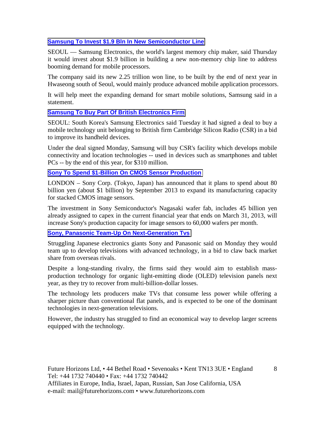# **[Samsung To Invest \\$1.9 Bln In New Semiconductor Line](http://www.google.com/hostednews/afp/article/ALeqM5iLQy4kf5yNlsMcI56P_F6nKjiY0g?docId=CNG.9144a8cc0aec02ae9c190696a16070e8.3b1)**

SEOUL — Samsung Electronics, the world's largest memory chip maker, said Thursday it would invest about \$1.9 billion in building a new non-memory chip line to address booming demand for mobile processors.

The company said its new 2.25 trillion won line, to be built by the end of next year in Hwaseong south of Seoul, would mainly produce advanced mobile application processors.

It will help meet the expanding demand for smart mobile solutions, Samsung said in a statement.

## **[Samsung To Buy Part Of British Electronics Firm](http://www.brecorder.com/business-a-finance/industries-a-sectors/68265-samsung-to-buy-part-of-british-electronics-firm-.html)**

SEOUL: South Korea's Samsung Electronics said Tuesday it had signed a deal to buy a mobile technology unit belonging to British firm Cambridge Silicon Radio (CSR) in a bid to improve its handheld devices.

Under the deal signed Monday, Samsung will buy CSR's facility which develops mobile connectivity and location technologies -- used in devices such as smartphones and tablet PCs -- by the end of this year, for \$310 million.

# **[Sony To Spend \\$1-Billion On CMOS Sensor Production](http://www.eetimes.com/electronics-news/4375965/Sony-spends-CMOS-sensors)**

LONDON – Sony Corp. (Tokyo, Japan) has announced that it plans to spend about 80 billion yen (about \$1 billion) by September 2013 to expand its manufacturing capacity for stacked CMOS image sensors.

The investment in Sony Semiconductor's Nagasaki wafer fab, includes 45 billion yen already assigned to capex in the current financial year that ends on March 31, 2013, will increase Sony's production capacity for image sensors to 60,000 wafers per month.

#### **[Sony, Panasonic Team-Up On Next-Generation Tvs](http://www.deccanchronicle.com/channels/business/companies/sony-panasonic-team-next-generation-tvs-915)**

Struggling Japanese electronics giants Sony and Panasonic said on Monday they would team up to develop televisions with advanced technology, in a bid to claw back market share from overseas rivals.

Despite a long-standing rivalry, the firms said they would aim to establish massproduction technology for organic light-emitting diode (OLED) television panels next year, as they try to recover from multi-billion-dollar losses.

The technology lets producers make TVs that consume less power while offering a sharper picture than conventional flat panels, and is expected to be one of the dominant technologies in next-generation televisions.

However, the industry has struggled to find an economical way to develop larger screens equipped with the technology.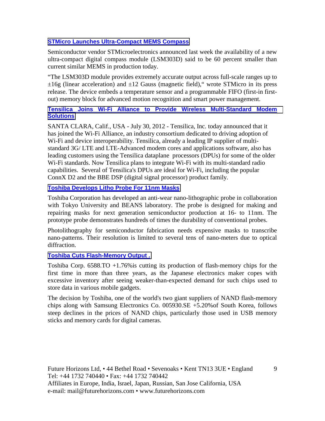# **[STMicro Launches Ultra-Compact MEMS Compass](http://www.gpsbusinessnews.com/STMicro-Launches-Ultra-Compact-MEMS-Compass_a3725.html)**

Semiconductor vendor STMicroelectronics announced last week the availability of a new ultra-compact digital compass module (LSM303D) said to be 60 percent smaller than current similar MEMS in production today.

"The LSM303D module provides extremely accurate output across full-scale ranges up to  $\pm 16g$  (linear acceleration) and  $\pm 12$  Gauss (magnetic field), wrote STMicro in its press release. The device embeds a temperature sensor and a programmable FIFO (first-in firstout) memory block for advanced motion recognition and smart power management.

# **[Tensilica Joins Wi-Fi Alliance to Provide Wireless Multi-Standard Modem](http://www.design-reuse.com/news/29857/tensilica-wi-fi-alliance.html)  [Solutions](http://www.design-reuse.com/news/29857/tensilica-wi-fi-alliance.html)**

SANTA CLARA, Calif., USA - July 30, 2012 - Tensilica, Inc. today announced that it has joined the Wi-Fi Alliance, an industry consortium dedicated to driving adoption of Wi-Fi and device interoperability. Tensilica, already a leading IP supplier of multistandard 3G/ LTE and LTE-Advanced modem cores and applications software, also has leading customers using the Tensilica dataplane processors (DPUs) for some of the older Wi-Fi standards. Now Tensilica plans to integrate Wi-Fi with its multi-standard radio capabilities. Several of Tensilica's DPUs are ideal for Wi-Fi, including the popular ConnX D2 and the BBE DSP (digital signal processor) product family.

# **[Toshiba Develops Litho Probe For 11nm Masks](http://www.electronicsweekly.com/Articles/09/07/2012/54075/toshiba-develops-litho-probe-for-11nm-masks.htm)**

Toshiba Corporation has developed an anti-wear nano-lithographic probe in collaboration with Tokyo University and BEANS laboratory. The probe is designed for making and repairing masks for next generation semiconductor production at 16- to 11nm. The prototype probe demonstrates hundreds of times the durability of conventional probes.

Photolithography for semiconductor fabrication needs expensive masks to transcribe nano-patterns. Their resolution is limited to several tens of nano-meters due to optical diffraction.

# **[Toshiba Cuts Flash-Memory Output .](http://online.wsj.com/article/SB10000872396390444025204577546522877595052.html?mod=djemTechEurope_t)**

Toshiba Corp. 6588.TO +1.76%is cutting its production of flash-memory chips for the first time in more than three years, as the Japanese electronics maker copes with excessive inventory after seeing weaker-than-expected demand for such chips used to store data in various mobile gadgets.

The decision by Toshiba, one of the world's two giant suppliers of NAND flash-memory chips along with Samsung Electronics Co. 005930.SE +5.20%of South Korea, follows steep declines in the prices of NAND chips, particularly those used in USB memory sticks and memory cards for digital cameras.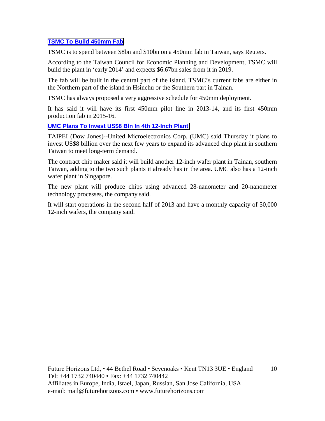# **[TSMC To Build 450mm Fab](http://www.electronicsweekly.com/Articles/11/06/2012/53865/tsmc-to-build-450mm-fab.htm)**

TSMC is to spend between \$8bn and \$10bn on a 450mm fab in Taiwan, says Reuters.

According to the Taiwan Council for Economic Planning and Development, TSMC will build the plant in 'early 2014' and expects \$6.67bn sales from it in 2019.

The fab will be built in the central part of the island. TSMC's current fabs are either in the Northern part of the island in Hsinchu or the Southern part in Tainan.

TSMC has always proposed a very aggressive schedule for 450mm deployment.

It has said it will have its first 450mm pilot line in 2013-14, and its first 450mm production fab in 2015-16.

## **[UMC Plans To Invest US\\$8 Bln In 4th 12-Inch Plant](http://online.wsj.com/article/BT-CO-20120523-720584.html)**

TAIPEI (Dow Jones)--United Microelectronics Corp. (UMC) said Thursday it plans to invest US\$8 billion over the next few years to expand its advanced chip plant in southern Taiwan to meet long-term demand.

The contract chip maker said it will build another 12-inch wafer plant in Tainan, southern Taiwan, adding to the two such plants it already has in the area. UMC also has a 12-inch wafer plant in Singapore.

The new plant will produce chips using advanced 28-nanometer and 20-nanometer technology processes, the company said.

It will start operations in the second half of 2013 and have a monthly capacity of 50,000 12-inch wafers, the company said.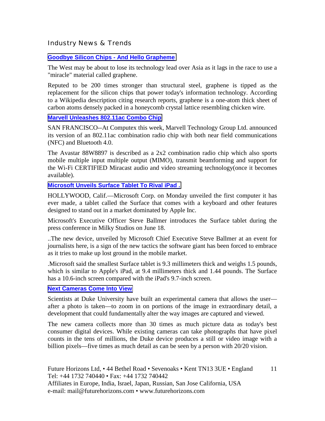Industry News & Trends

#### **[Goodbye Silicon Chips - And Hello Grapheme](http://www.thenational.ae/thenationalconversation/industry-insights/technology/goodbye-silicon-chips-and-hello-graphene)**

The West may be about to lose its technology lead over Asia as it lags in the race to use a "miracle" material called graphene.

Reputed to be 200 times stronger than structural steel, graphene is tipped as the replacement for the silicon chips that power today's information technology. According to a Wikipedia description citing research reports, graphene is a one-atom thick sheet of carbon atoms densely packed in a honeycomb crystal lattice resembling chicken wire.

#### **[Marvell Unleashes 802.11ac Combo Chip](http://www.eetimes.com/electronics-news/4374956/Marvell-unleashes-802-11ac-combo-chip-)**

SAN FRANCISCO--At Computex this week, Marvell Technology Group Ltd. announced its version of an 802.11ac combination radio chip with both near field communications (NFC) and Bluetooth 4.0.

The Avastar 88W8897 is described as a 2x2 combination radio chip which also sports mobile multiple input multiple output (MIMO), transmit beamforming and support for the Wi-Fi CERTIFIED Miracast audio and video streaming technology(once it becomes available).

## **[Microsoft Unveils Surface Tablet To Rival iPad .](http://online.wsj.com/article/SB10001424052702303703004577474910029263198.html?mod=business_newsreel)**

HOLLYWOOD, Calif.—Microsoft Corp. on Monday unveiled the first computer it has ever made, a tablet called the Surface that comes with a keyboard and other features designed to stand out in a market dominated by Apple Inc.

Microsoft's Executive Officer Steve Ballmer introduces the Surface tablet during the press conference in Milky Studios on June 18.

..The new device, unveiled by Microsoft Chief Executive Steve Ballmer at an event for journalists here, is a sign of the new tactics the software giant has been forced to embrace as it tries to make up lost ground in the mobile market.

.Microsoft said the smallest Surface tablet is 9.3 millimeters thick and weighs 1.5 pounds, which is similar to Apple's iPad, at 9.4 millimeters thick and 1.44 pounds. The Surface has a 10.6-inch screen compared with the iPad's 9.7-inch screen.

#### **[Next Cameras Come Into View](http://online.wsj.com/article/SB10001424052702304441404577478182111367056.html?mod=djemTechEurope_t)**

Scientists at Duke University have built an experimental camera that allows the user after a photo is taken—to zoom in on portions of the image in extraordinary detail, a development that could fundamentally alter the way images are captured and viewed.

The new camera collects more than 30 times as much picture data as today's best consumer digital devices. While existing cameras can take photographs that have pixel counts in the tens of millions, the Duke device produces a still or video image with a billion pixels—five times as much detail as can be seen by a person with 20/20 vision.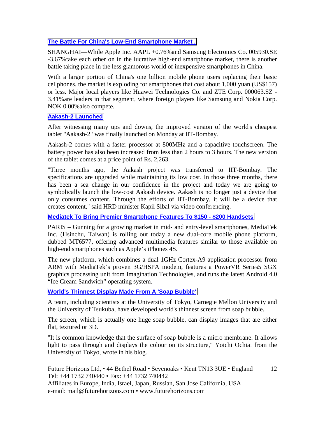# **[The Battle For China's Low-End Smartphone Market .](http://online.wsj.com/article/SB10001424052702304765304577482000321643104.html?mod=djemTechEurope_t)**

SHANGHAI—While Apple Inc. AAPL +0.76%and Samsung Electronics Co. 005930.SE -3.67%take each other on in the lucrative high-end smartphone market, there is another battle taking place in the less glamorous world of inexpensive smartphones in China.

With a larger portion of China's one billion mobile phone users replacing their basic cellphones, the market is exploding for smartphones that cost about 1,000 yuan (US\$157) or less. Major local players like Huawei Technologies Co. and ZTE Corp. 000063.SZ - 3.41%are leaders in that segment, where foreign players like Samsung and Nokia Corp. NOK 0.00%also compete.

#### **[Aakash-2 Launched](http://www.eetindia.co.in/ART_8800669650_1800012_NT_0ea5470b.HTM?click_from=8800095698,9950114561,2012-06-27,EEIOL,ARTICLE_ALERT)**

After witnessing many ups and downs, the improved version of the world's cheapest tablet "Aakash-2" was finally launched on Monday at IIT-Bombay.

Aakash-2 comes with a faster processor at 800MHz and a capacitive touchscreen. The battery power has also been increased from less than 2 hours to 3 hours. The new version of the tablet comes at a price point of Rs. 2,263.

"Three months ago, the Aakash project was transferred to IIT-Bombay. The specifications are upgraded while maintaining its low cost. In those three months, there has been a sea change in our confidence in the project and today we are going to symbolically launch the low-cost Aakash device. Aakash is no longer just a device that only consumes content. Through the efforts of IIT-Bombay, it will be a device that creates content," said HRD minister Kapil Sibal via video conferencing.

**[Mediatek To Bring Premier Smartphone Features To \\$150 - \\$200 Handsets](http://www.eetimes.com/electronics-news/4376108/MediaTek-to-bring-premier-smartphone-features-to--150----200-handsets)**

PARIS – Gunning for a growing market in mid- and entry-level smartphones, MediaTek Inc. (Hsinchu, Taiwan) is rolling out today a new dual-core mobile phone platform, dubbed MT6577, offering advanced multimedia features similar to those available on high-end smartphones such as Apple's iPhones 4S.

The new platform, which combines a dual 1GHz Cortex-A9 application processor from ARM with MediaTek's proven 3G/HSPA modem, features a PowerVR Series5 SGX graphics processing unit from Imagination Technologies, and runs the latest Android 4.0 "Ice Cream Sandwich" operating system.

**[World's Thinnest Display Made From A 'Soap Bubble'](http://www.eetindia.co.in/ART_8800670177_1800010_NT_9c465a35.HTM?click_from=8800096018,9950114561,2012-07-05,EEIOL,ARTICLE_ALERT)**

A team, including scientists at the University of Tokyo, Carnegie Mellon University and the University of Tsukuba, have developed world's thinnest screen from soap bubble.

The screen, which is actually one huge soap bubble, can display images that are either flat, textured or 3D.

"It is common knowledge that the surface of soap bubble is a micro membrane. It allows light to pass through and displays the colour on its structure," Yoichi Ochiai from the University of Tokyo, wrote in his blog.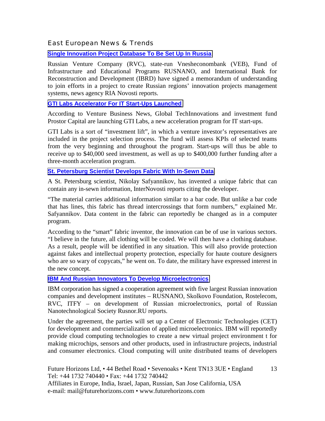# East European News & Trends

#### **[Single Innovation Project Database To Be Set Up In Russia](http://www.marchmontnews.com/Technology-Innovation/Central-regions/18720-Single-innovation-project-database-be-set-up-Russia.html)**

Russian Venture Company (RVC), state-run Vnesheconombank (VEB), Fund of Infrastructure and Educational Programs RUSNANO, and International Bank for Reconstruction and Development (IBRD) have signed a memorandum of understanding to join efforts in a project to create Russian regions' innovation projects management systems, news agency RIA Novosti reports.

#### **[GTI Labs Accelerator For IT Start-Ups Launched](http://www.marchmontnews.com/Technology-Innovation/Central-regions/18739-GTI-Labs-accelerator-for-IT-start-ups-launched.html)**

According to Venture Business News, Global TechInnovations and investment fund Prostor Capital are launching GTI Labs, a new acceleration program for IT start-ups.

GTI Labs is a sort of "investment lift", in which a venture investor's representatives are included in the project selection process. The fund will assess KPIs of selected teams from the very beginning and throughout the program. Start-ups will thus be able to receive up to \$40,000 seed investment, as well as up to \$400,000 further funding after a three-month acceleration program.

#### **[St. Petersburg Scientist Develops Fabric With In-Sewn Data](http://www.marchmontnews.com/Technology-Innovation/North-West/18736-St-Petersburg-scientist-develops-fabric-with-in-sewn-data.html)**

A St. Petersburg scientist, Nikolay Safyannikov, has invented a unique fabric that can contain any in-sewn information, InterNovosti reports citing the developer.

"The material carries additional information similar to a bar code. But unlike a bar code that has lines, this fabric has thread intercrossings that form numbers," explained Mr. Safyannikov. Data content in the fabric can reportedly be changed as in a computer program.

According to the "smart" fabric inventor, the innovation can be of use in various sectors. "I believe in the future, all clothing will be coded. We will then have a clothing database. As a result, people will be identified in any situation. This will also provide protection against fakes and intellectual property protection, especially for haute couture designers who are so wary of copycats," he went on. To date, the military have expressed interest in the new concept.

#### **[IBM And Russian Innovators To Develop Microelectronics](http://www.marchmontnews.com/Technology-Innovation/Central-regions/18766-IBM-and-Russian-innovators-develop-microelectronics.html)**

IBM corporation has signed a cooperation agreement with five largest Russian innovation companies and development institutes – RUSNANO, Skolkovo Foundation, Rostelecom, RVC, ITFY – on development of Russian microelectronics, portal of Russian Nanotechnological Society Rusnor.RU reports.

Under the agreement, the parties will set up a Center of Electronic Technologies (CET) for development and commercialization of applied microelectronics. IBM will reportedly provide cloud computing technologies to create a new virtual project environment t for making microchips, sensors and other products, used in infrastructure projects, industrial and consumer electronics. Cloud computing will unite distributed teams of developers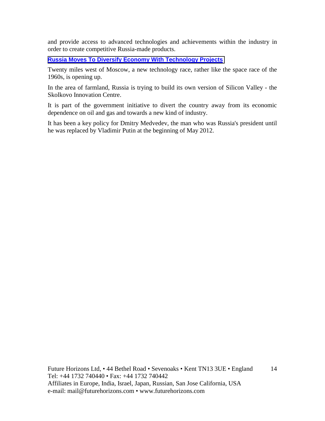and provide access to advanced technologies and achievements within the industry in order to create competitive Russia-made products.

**[Russia Moves To Diversify Economy With Technology Projects](http://www.bbc.co.uk/news/business-18622834)**

Twenty miles west of Moscow, a new technology race, rather like the space race of the 1960s, is opening up.

In the area of farmland, Russia is trying to build its own version of Silicon Valley - the Skolkovo Innovation Centre.

It is part of the government initiative to divert the country away from its economic dependence on oil and gas and towards a new kind of industry.

It has been a key policy for Dmitry Medvedev, the man who was Russia's president until he was replaced by Vladimir Putin at the beginning of May 2012.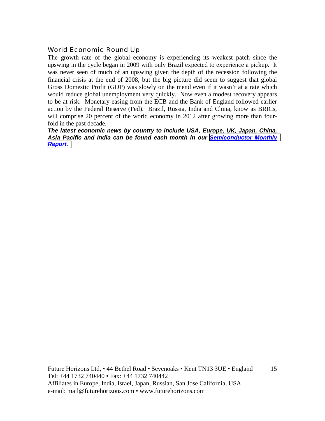# World Economic Round Up

The growth rate of the global economy is experiencing its weakest patch since the upswing in the cycle began in 2009 with only Brazil expected to experience a pickup. It was never seen of much of an upswing given the depth of the recession following the financial crisis at the end of 2008, but the big picture did seem to suggest that global Gross Domestic Profit (GDP) was slowly on the mend even if it wasn't at a rate which would reduce global unemployment very quickly. Now even a modest recovery appears to be at risk. Monetary easing from the ECB and the Bank of England followed earlier action by the Federal Reserve (Fed). Brazil, Russia, India and China, know as BRICs, will comprise 20 percent of the world economy in 2012 after growing more than fourfold in the past decade.

*The latest economic news by country to include USA, Europe, UK, Japan, China, Asia Pacific and India can be found each month in our [Semiconductor Monthly](http://www.futurehorizons.com/page/18/Global-Semiconductor-Report)  [Report.](http://www.futurehorizons.com/page/18/Global-Semiconductor-Report)*